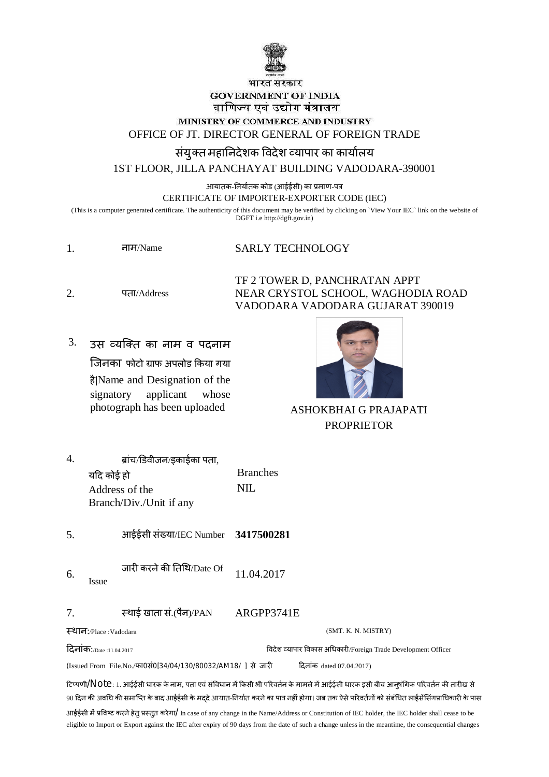

## भारत सरकार **GOVERNMENT OF INDIA** वाणिज्य एवं उद्योग मंत्रालय MINISTRY OF COMMERCE AND INDUSTRY OFFICE OF JT. DIRECTOR GENERAL OF FOREIGN TRADE संयुक्त महानिदेशक विदेश व्यापार का कार्यालय

1ST FLOOR, JILLA PANCHAYAT BUILDING VADODARA-390001

आयातक-निर्यातक कोड (आईईसी) का प्रमाण-पत्र

CERTIFICATE OF IMPORTER-EXPORTER CODE (IEC)

(This is a computer generated certificate. The authenticity of this document may be verified by clicking on 'View Your IEC' link on the website of DGFT i.e http://dgft.gov.in)

| नाम/Name | <b>SARLY TECHNOLOGY</b> |
|----------|-------------------------|
|          |                         |

TF 2 TOWER D, PANCHRATAN APPT  $2^{\circ}$ पता/Address NEAR CRYSTOL SCHOOL, WAGHODIA ROAD VADODARA VADODARA GUJARAT 390019

 $\mathfrak{Z}$ . उस व्यक्ति का नाम व पदनाम जिनका फोटो ग्राफ अपलोड किया गया है|Name and Designation of the signatory applicant whose photograph has been uploaded



**ASHOKBHAI G PRAJAPATI PROPRIETOR** 

| 4.                                                                                       | यदि कोई हो | ब्रांच/डिवीजन/इकाईका पता,<br>Address of the<br>Branch/Div./Unit if any | <b>Branches</b><br><b>NIL</b>                                                                                                                                                                                                                                                                      |
|------------------------------------------------------------------------------------------|------------|------------------------------------------------------------------------|----------------------------------------------------------------------------------------------------------------------------------------------------------------------------------------------------------------------------------------------------------------------------------------------------|
| 5.                                                                                       |            | आईईसी संख्या/IEC Number 3417500281                                     |                                                                                                                                                                                                                                                                                                    |
| 6.                                                                                       | Issue      | जारी करने की तिथि/Date Of                                              | 11.04.2017                                                                                                                                                                                                                                                                                         |
| 7.                                                                                       |            | स्थाई खाता सं.(पैन)/PAN                                                | ARGPP3741E                                                                                                                                                                                                                                                                                         |
| स्थान:/Place :Vadodara<br>(SMT. K. N. MISTRY)                                            |            |                                                                        |                                                                                                                                                                                                                                                                                                    |
| <b>दिनांक:</b> Date :11.04.2017                                                          |            |                                                                        | विदेश व्यापार विकास अधिकारी/Foreign Trade Development Officer                                                                                                                                                                                                                                      |
| (Issued From File.No./फा0सं0[34/04/130/80032/AM18/ ] से जारी<br>दिनांक dated 07.04.2017) |            |                                                                        |                                                                                                                                                                                                                                                                                                    |
|                                                                                          |            |                                                                        | टिप्पणी/ $\sf Nol$ C: 1. आईईसी धारक के नाम, पता एवं संविधान में किसी भी परिवर्तन के मामले में आईईसी धारक इसी बीच आनुषंगिक परिवर्तन की तारीख से<br>90 दिन की अवधि की समाप्ति के बाद आईईसी के मददे आयात-निर्यात करने का पात्र नहीं होगा। जब तक ऐसे परिवर्तनों को संबंधित लाईसेंसिंगप्राधिकारी के पास |

आईईसी में प्रविष्ट करने हेतु प्रस्तुत करेगा/ In case of any change in the Name/Address or Constitution of IEC holder, the IEC holder shall cease to be eligible to Import or Export against the IEC after expiry of 90 days from the date of such a change unless in the meantime, the consequential changes